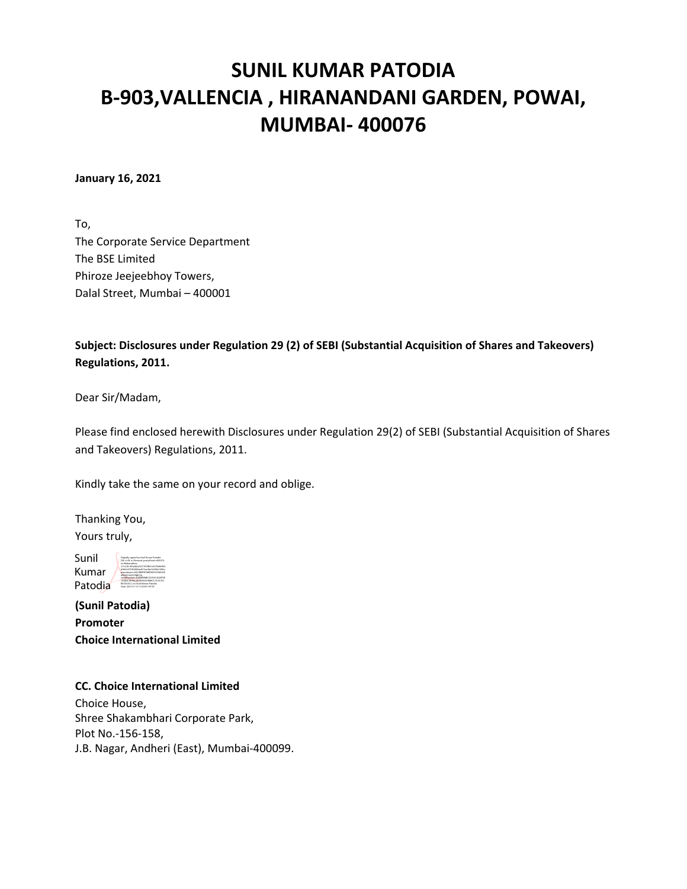# **SUNIL KUMAR PATODIA B‐903,VALLENCIA , HIRANANDANI GARDEN, POWAI, MUMBAI‐ 400076**

**January 16, 2021**

To, The Corporate Service Department The BSE Limited Phiroze Jeejeebhoy Towers, Dalal Street, Mumbai – 400001

## **Subject: Disclosures under Regulation 29 (2) of SEBI (Substantial Acquisition of Shares and Takeovers) Regulations, 2011.**

Dear Sir/Madam,

Please find enclosed herewith Disclosures under Regulation 29(2) of SEBI (Substantial Acquisition of Shares and Takeovers) Regulations, 2011.

Kindly take the same on your record and oblige.

Thanking You, Yours truly,

Sunil Kumar Patodia **Serial Number Patodia and Sunil Advance Patodia** and California and California and California and California and California and California and California and California and California and California and California Digitally signed by Sunil Kumar Patodia DN: c=IN, o=Personal, postalCode=400076, st=Maharashtra, 2.5.4.20=87a2b0a33319378b7e2379a9bf3f3 d0641d7395d906ad415ac2ba7e49b61282e, 4FBAD16A707BBC20,

**(Sunil Patodia) Promoter Choice International Limited**

### **CC. Choice International Limited**

Choice House, Shree Shakambhari Corporate Park, Plot No.‐156‐158, J.B. Nagar, Andheri (East), Mumbai‐400099.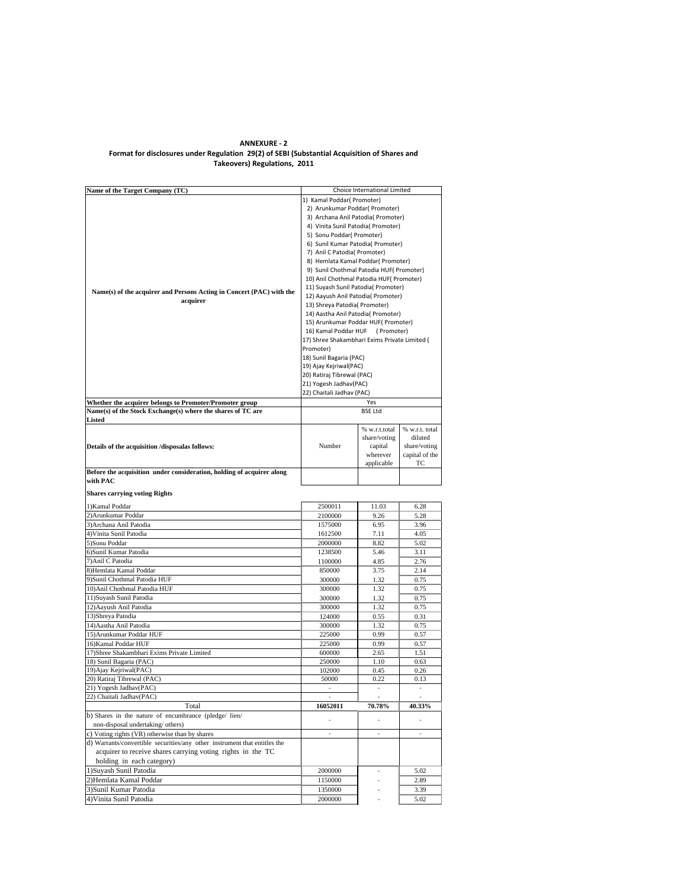#### **ANNEXURE ‐ 2 Format for disclosures under Regulation 29(2) of SEBI (Substantial Acquisition of Shares and Takeovers) Regulations, 2011**

| Name of the Target Company (TC)                                              | Choice International Limited                                                                                                                  |                |                |  |  |
|------------------------------------------------------------------------------|-----------------------------------------------------------------------------------------------------------------------------------------------|----------------|----------------|--|--|
|                                                                              | 1) Kamal Poddar( Promoter)                                                                                                                    |                |                |  |  |
|                                                                              | 2) Arunkumar Poddar( Promoter)                                                                                                                |                |                |  |  |
|                                                                              | 3) Archana Anil Patodia( Promoter)                                                                                                            |                |                |  |  |
|                                                                              | 4) Vinita Sunil Patodia( Promoter)                                                                                                            |                |                |  |  |
|                                                                              | 5) Sonu Poddar( Promoter)                                                                                                                     |                |                |  |  |
|                                                                              | 6) Sunil Kumar Patodia( Promoter)                                                                                                             |                |                |  |  |
|                                                                              |                                                                                                                                               |                |                |  |  |
|                                                                              | 7) Anil C Patodia( Promoter)<br>8) Hemlata Kamal Poddar( Promoter)                                                                            |                |                |  |  |
|                                                                              |                                                                                                                                               |                |                |  |  |
|                                                                              | 9) Sunil Chothmal Patodia HUF(Promoter)                                                                                                       |                |                |  |  |
|                                                                              | 10) Anil Chothmal Patodia HUF( Promoter)                                                                                                      |                |                |  |  |
|                                                                              | 11) Suyash Sunil Patodia( Promoter)                                                                                                           |                |                |  |  |
| Name(s) of the acquirer and Persons Acting in Concert (PAC) with the         | 12) Aayush Anil Patodia( Promoter)                                                                                                            |                |                |  |  |
| acquirer                                                                     | 13) Shreya Patodia( Promoter)<br>14) Aastha Anil Patodia( Promoter)<br>15) Arunkumar Poddar HUF( Promoter)<br>16) Kamal Poddar HUF (Promoter) |                |                |  |  |
|                                                                              |                                                                                                                                               |                |                |  |  |
|                                                                              |                                                                                                                                               |                |                |  |  |
|                                                                              |                                                                                                                                               |                |                |  |  |
|                                                                              |                                                                                                                                               |                |                |  |  |
|                                                                              | 17) Shree Shakambhari Exims Private Limited (                                                                                                 |                |                |  |  |
|                                                                              | Promoter)                                                                                                                                     |                |                |  |  |
|                                                                              | 18) Sunil Bagaria (PAC)                                                                                                                       |                |                |  |  |
|                                                                              | 19) Ajay Kejriwal(PAC)                                                                                                                        |                |                |  |  |
|                                                                              | 20) Ratiraj Tibrewal (PAC)                                                                                                                    |                |                |  |  |
|                                                                              | 21) Yogesh Jadhav(PAC)                                                                                                                        |                |                |  |  |
|                                                                              | 22) Chaitali Jadhav (PAC)                                                                                                                     |                |                |  |  |
| Whether the acquirer belongs to Promoter/Promoter group                      |                                                                                                                                               | Yes            |                |  |  |
|                                                                              |                                                                                                                                               |                |                |  |  |
| Name(s) of the Stock Exchange(s) where the shares of TC are<br><b>Listed</b> |                                                                                                                                               | <b>BSE Ltd</b> |                |  |  |
|                                                                              |                                                                                                                                               |                |                |  |  |
|                                                                              |                                                                                                                                               | % w.r.t.total  | % w.r.t. total |  |  |
|                                                                              |                                                                                                                                               | share/voting   | diluted        |  |  |
| Details of the acquisition /disposalas follows:                              | Number                                                                                                                                        | capital        | share/voting   |  |  |
|                                                                              |                                                                                                                                               | wherever       | capital of the |  |  |
|                                                                              |                                                                                                                                               | applicable     | TC             |  |  |
| Before the acquisition under consideration, holding of acquirer along        |                                                                                                                                               |                |                |  |  |
| with PAC                                                                     |                                                                                                                                               |                |                |  |  |
|                                                                              |                                                                                                                                               |                |                |  |  |
| <b>Shares carrying voting Rights</b>                                         |                                                                                                                                               |                |                |  |  |
| 1) Kamal Poddar                                                              | 2500011                                                                                                                                       | 11.03          | 6.28           |  |  |
| 2) Arunkumar Poddar                                                          |                                                                                                                                               |                |                |  |  |
|                                                                              | 2100000                                                                                                                                       | 9.26           | 5.28           |  |  |
| 3) Archana Anil Patodia                                                      | 1575000                                                                                                                                       | 6.95           | 3.96           |  |  |
| 4) Vinita Sunil Patodia                                                      | 1612500                                                                                                                                       | 7.11           | 4.05           |  |  |
| 5) Sonu Poddar                                                               | 2000000                                                                                                                                       | 8.82           | 5.02           |  |  |
| 6) Sunil Kumar Patodia                                                       | 1238500                                                                                                                                       | 5.46           | 3.11           |  |  |
| 7) Anil C Patodia                                                            | 1100000                                                                                                                                       | 4.85           | 2.76           |  |  |
| 8) Hemlata Kamal Poddar                                                      | 850000                                                                                                                                        | 3.75           | 2.14           |  |  |
|                                                                              |                                                                                                                                               |                |                |  |  |
| 9) Sunil Chothmal Patodia HUF                                                | 300000                                                                                                                                        | 1.32           | 0.75           |  |  |
| 10) Anil Chothmal Patodia HUF                                                | 300000                                                                                                                                        | 1.32           | 0.75           |  |  |
| 11)Suyash Sunil Patodia                                                      | 300000                                                                                                                                        | 1.32           | 0.75           |  |  |
| 12) Aayush Anil Patodia                                                      | 300000                                                                                                                                        | 1.32           | 0.75           |  |  |
| 13) Shreya Patodia                                                           | 124000                                                                                                                                        | 0.55           | 0.31           |  |  |
| 14) Aastha Anil Patodia                                                      | 300000                                                                                                                                        |                | 0.75           |  |  |
|                                                                              |                                                                                                                                               | 1.32           |                |  |  |
| 15) Arunkumar Poddar HUF                                                     | 225000                                                                                                                                        | 0.99           | 0.57           |  |  |
| 16) Kamal Poddar HUF                                                         | 225000                                                                                                                                        | 0.99           | 0.57           |  |  |
| 17) Shree Shakambhari Exims Private Limited                                  | 600000                                                                                                                                        | 2.65           | 1.51           |  |  |
| 18) Sunil Bagaria (PAC)                                                      | 250000                                                                                                                                        | 1.10           | 0.63           |  |  |
| 19) Ajay Kejriwal (PAC)                                                      | 102000                                                                                                                                        | 0.45           | 0.26           |  |  |
| 20) Ratiraj Tibrewal (PAC)                                                   | 50000                                                                                                                                         | 0.22           | 0.13           |  |  |
| 21) Yogesh Jadhav(PAC)                                                       |                                                                                                                                               |                |                |  |  |
| 22) Chaitali Jadhav(PAC)                                                     | $\sim$                                                                                                                                        | ä,             |                |  |  |
| Total                                                                        | 16052011                                                                                                                                      |                |                |  |  |
|                                                                              |                                                                                                                                               | 70.78%         | 40.33%         |  |  |
| b) Shares in the nature of encumbrance (pledge/ lien/                        | ×,                                                                                                                                            |                |                |  |  |
| non-disposal undertaking/others)                                             |                                                                                                                                               |                |                |  |  |
| c) Voting rights (VR) otherwise than by shares                               | ÷                                                                                                                                             | ÷              | ÷              |  |  |
| d) Warrants/convertible securities/any other instrument that entitles the    |                                                                                                                                               |                |                |  |  |
| acquirer to receive shares carrying voting rights in the TC                  |                                                                                                                                               |                |                |  |  |
|                                                                              |                                                                                                                                               |                |                |  |  |
| holding in each category)                                                    |                                                                                                                                               |                |                |  |  |
| 1) Suyash Sunil Patodia                                                      | 2000000                                                                                                                                       | ×,             | 5.02           |  |  |
| 2) Hemlata Kamal Poddar                                                      | 1150000                                                                                                                                       |                | 2.89           |  |  |
| 3) Sunil Kumar Patodia                                                       | 1350000                                                                                                                                       |                | 3.39           |  |  |
| 4) Vinita Sunil Patodia                                                      | 2000000                                                                                                                                       |                | 5.02           |  |  |
|                                                                              |                                                                                                                                               |                |                |  |  |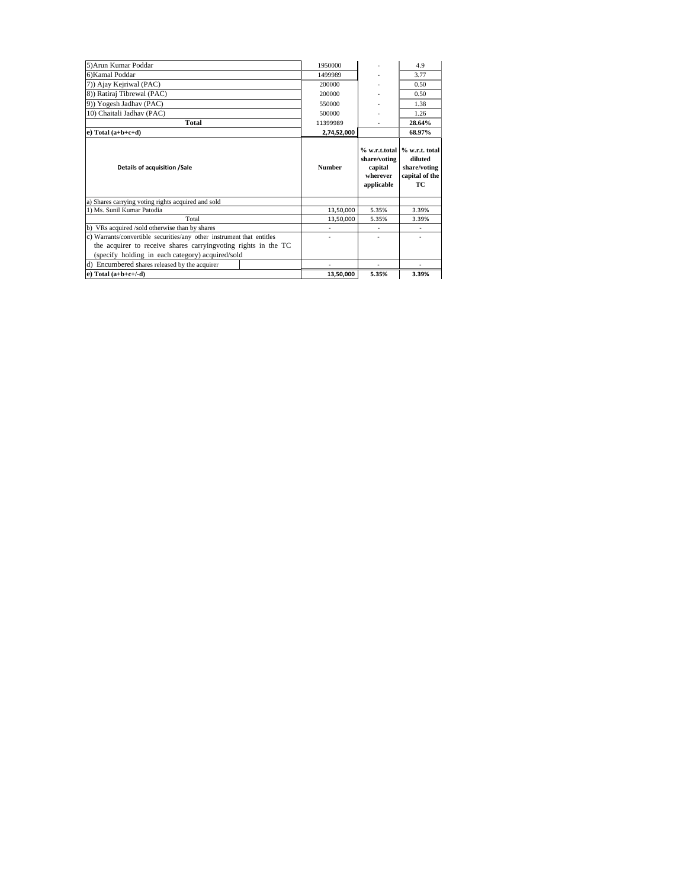| 5) Arun Kumar Poddar                                                  | 1950000       |                                                   | 4.9                                                                               |
|-----------------------------------------------------------------------|---------------|---------------------------------------------------|-----------------------------------------------------------------------------------|
| 6) Kamal Poddar                                                       | 1499989       |                                                   | 3.77                                                                              |
| 7)) Ajay Kejriwal (PAC)                                               | 200000        |                                                   | 0.50                                                                              |
| 8)) Ratiraj Tibrewal (PAC)                                            | 200000        |                                                   | 0.50                                                                              |
| 9)) Yogesh Jadhav (PAC)                                               | 550000        |                                                   | 1.38                                                                              |
| 10) Chaitali Jadhav (PAC)                                             | 500000        |                                                   | 1.26                                                                              |
| Total                                                                 | 11399989      |                                                   | 28.64%                                                                            |
| $e)$ Total $(a+b+c+d)$                                                | 2,74,52,000   |                                                   | 68.97%                                                                            |
| Details of acquisition /Sale                                          | <b>Number</b> | share/voting<br>capital<br>wherever<br>applicable | % w.r.t.total   % w.r.t. total<br>diluted<br>share/voting<br>capital of the<br>TC |
| a) Shares carrying voting rights acquired and sold                    |               |                                                   |                                                                                   |
| 1) Ms. Sunil Kumar Patodia                                            | 13,50,000     | 5.35%                                             | 3.39%                                                                             |
| Total                                                                 | 13,50,000     | 5.35%                                             | 3.39%                                                                             |
| b) VRs acquired /sold otherwise than by shares                        | ٠             | ٠                                                 | ٠                                                                                 |
| c) Warrants/convertible securities/any other instrument that entitles |               |                                                   |                                                                                   |
| the acquirer to receive shares carrying voting rights in the TC       |               |                                                   |                                                                                   |
| (specify holding in each category) acquired/sold                      |               |                                                   |                                                                                   |
| d) Encumbered shares released by the acquirer                         |               |                                                   |                                                                                   |
| e) Total $(a+b+c+/-d)$                                                |               |                                                   |                                                                                   |